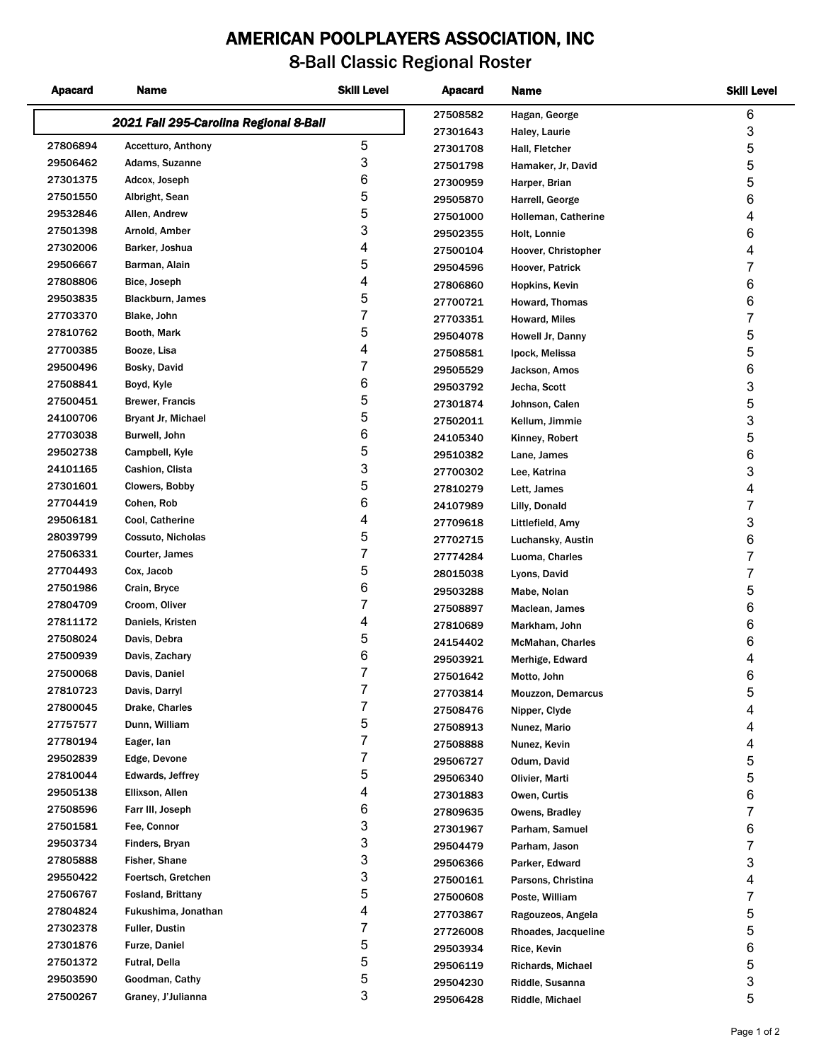## **AMERICAN POOLPLAYERS ASSOCIATION, INC**

## **8-Ball Classic Regional Roster**

| <b>Apacard</b> | <b>Name</b>                            | <b>Skill Level</b> | <b>Apacard</b> | Name                     | <b>Skill Level</b> |
|----------------|----------------------------------------|--------------------|----------------|--------------------------|--------------------|
|                | 2021 Fall 295-Carolina Regional 8-Ball |                    | 27508582       | Hagan, George            | 6                  |
|                |                                        |                    | 27301643       | Haley, Laurie            | 3                  |
| 27806894       | Accetturo, Anthony                     | 5                  | 27301708       | Hall, Fletcher           | 5                  |
| 29506462       | Adams, Suzanne                         | 3                  | 27501798       | Hamaker, Jr, David       | 5                  |
| 27301375       | Adcox, Joseph                          | 6                  | 27300959       | Harper, Brian            | 5                  |
| 27501550       | Albright, Sean                         | 5                  | 29505870       | Harrell, George          | 6                  |
| 29532846       | Allen, Andrew                          | 5                  | 27501000       | Holleman, Catherine      | 4                  |
| 27501398       | Arnold, Amber                          | 3                  | 29502355       | Holt, Lonnie             | 6                  |
| 27302006       | Barker, Joshua                         | 4                  | 27500104       | Hoover, Christopher      | 4                  |
| 29506667       | Barman, Alain                          | 5                  | 29504596       | Hoover, Patrick          | $\overline{7}$     |
| 27808806       | Bice, Joseph                           | 4                  | 27806860       | Hopkins, Kevin           | 6                  |
| 29503835       | Blackburn, James                       | 5                  | 27700721       | Howard, Thomas           | 6                  |
| 27703370       | Blake, John                            | 7                  | 27703351       | Howard, Miles            | $\overline{7}$     |
| 27810762       | Booth, Mark                            | 5                  | 29504078       | Howell Jr, Danny         | 5                  |
| 27700385       | Booze, Lisa                            | 4                  | 27508581       | Ipock, Melissa           | 5                  |
| 29500496       | Bosky, David                           | 7                  | 29505529       | Jackson, Amos            | 6                  |
| 27508841       | Boyd, Kyle                             | 6                  | 29503792       | Jecha, Scott             | 3                  |
| 27500451       | <b>Brewer, Francis</b>                 | 5                  | 27301874       | Johnson, Calen           | 5                  |
| 24100706       | <b>Bryant Jr, Michael</b>              | 5                  | 27502011       | Kellum, Jimmie           | 3                  |
| 27703038       | Burwell, John                          | 6                  | 24105340       | Kinney, Robert           | 5                  |
| 29502738       | Campbell, Kyle                         | 5                  | 29510382       | Lane, James              | 6                  |
| 24101165       | Cashion, Clista                        | 3                  | 27700302       | Lee, Katrina             | 3                  |
| 27301601       | Clowers, Bobby                         | 5                  | 27810279       | Lett, James              | 4                  |
| 27704419       | Cohen, Rob                             | 6                  | 24107989       | Lilly, Donald            | 7                  |
| 29506181       | Cool, Catherine                        | 4                  | 27709618       | Littlefield, Amy         | 3                  |
| 28039799       | Cossuto, Nicholas                      | 5                  | 27702715       | Luchansky, Austin        | 6                  |
| 27506331       | Courter, James                         | 7                  | 27774284       | Luoma, Charles           | $\overline{7}$     |
| 27704493       | Cox, Jacob                             | 5                  | 28015038       | Lyons, David             | 7                  |
| 27501986       | Crain, Bryce                           | 6                  | 29503288       | Mabe, Nolan              | 5                  |
| 27804709       | Croom, Oliver                          | 7                  | 27508897       | Maclean, James           | 6                  |
| 27811172       | Daniels, Kristen                       | 4                  | 27810689       | Markham, John            | 6                  |
| 27508024       | Davis, Debra                           | 5                  | 24154402       | McMahan, Charles         | 6                  |
| 27500939       | Davis, Zachary                         | 6                  | 29503921       | Merhige, Edward          | 4                  |
| 27500068       | Davis, Daniel                          | 7                  | 27501642       | Motto, John              | 6                  |
| 27810723       | Davis, Darryl                          | 7                  | 27703814       | <b>Mouzzon, Demarcus</b> | 5                  |
| 27800045       | Drake, Charles                         | 7                  | 27508476       | Nipper, Clyde            | 4                  |
| 27757577       | Dunn, William                          | 5                  | 27508913       | Nunez, Mario             | 4                  |
| 27780194       | Eager, Ian                             | 7                  | 27508888       | Nunez, Kevin             | 4                  |
| 29502839       | Edge, Devone                           | 7                  | 29506727       | Odum, David              | 5                  |
| 27810044       | Edwards, Jeffrey                       | 5                  | 29506340       | Olivier, Marti           | 5                  |
| 29505138       | Ellixson, Allen                        | 4                  | 27301883       | Owen, Curtis             | 6                  |
| 27508596       | Farr III, Joseph                       | 6                  | 27809635       | Owens, Bradley           | 7                  |
| 27501581       | Fee, Connor                            | 3                  | 27301967       | Parham, Samuel           | 6                  |
| 29503734       | Finders, Bryan                         | 3                  | 29504479       | Parham, Jason            | 7                  |
| 27805888       | Fisher, Shane                          | 3                  | 29506366       | Parker, Edward           | 3                  |
| 29550422       | Foertsch, Gretchen                     | 3                  | 27500161       | Parsons, Christina       | 4                  |
| 27506767       | <b>Fosland, Brittany</b>               | 5                  | 27500608       | Poste, William           | 7                  |
| 27804824       | Fukushima, Jonathan                    | 4                  | 27703867       | Ragouzeos, Angela        | 5                  |
| 27302378       | <b>Fuller, Dustin</b>                  | 7                  | 27726008       | Rhoades, Jacqueline      | 5                  |
| 27301876       | <b>Furze, Daniel</b>                   | 5                  | 29503934       | Rice, Kevin              | 6                  |
| 27501372       | Futral, Della                          | 5                  | 29506119       | Richards, Michael        | 5                  |
| 29503590       | Goodman, Cathy                         | 5                  | 29504230       | Riddle, Susanna          | 3                  |
| 27500267       | Graney, J'Julianna                     | 3                  | 29506428       | Riddle, Michael          | 5                  |
|                |                                        |                    |                |                          |                    |